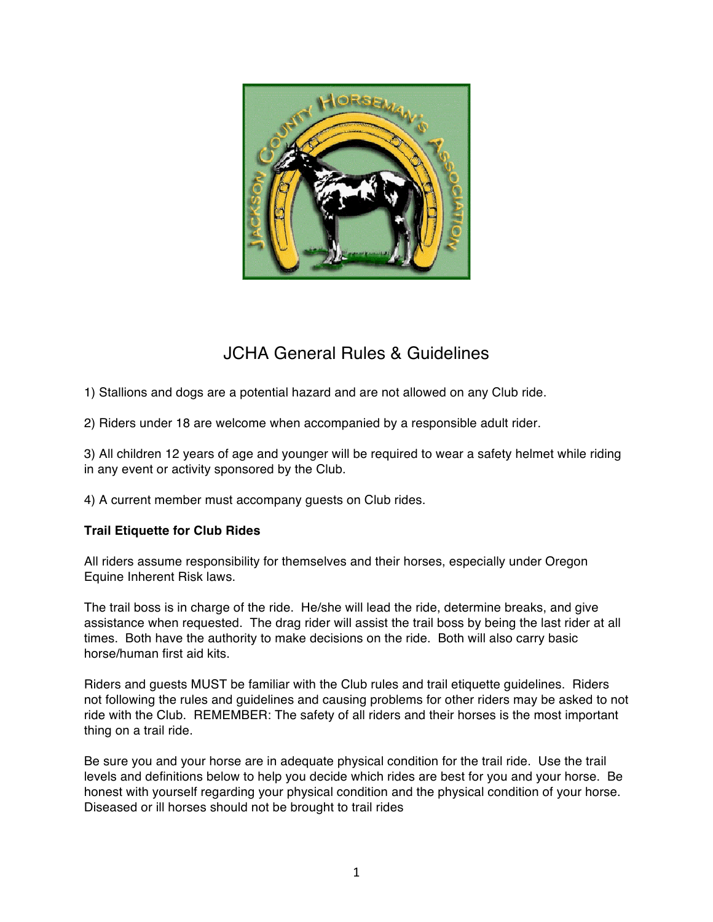

## JCHA General Rules & Guidelines

1) Stallions and dogs are a potential hazard and are not allowed on any Club ride.

2) Riders under 18 are welcome when accompanied by a responsible adult rider.

3) All children 12 years of age and younger will be required to wear a safety helmet while riding in any event or activity sponsored by the Club.

4) A current member must accompany guests on Club rides.

## **Trail Etiquette for Club Rides**

All riders assume responsibility for themselves and their horses, especially under Oregon Equine Inherent Risk laws.

The trail boss is in charge of the ride. He/she will lead the ride, determine breaks, and give assistance when requested. The drag rider will assist the trail boss by being the last rider at all times. Both have the authority to make decisions on the ride. Both will also carry basic horse/human first aid kits.

Riders and guests MUST be familiar with the Club rules and trail etiquette guidelines. Riders not following the rules and guidelines and causing problems for other riders may be asked to not ride with the Club. REMEMBER: The safety of all riders and their horses is the most important thing on a trail ride.

Be sure you and your horse are in adequate physical condition for the trail ride. Use the trail levels and definitions below to help you decide which rides are best for you and your horse. Be honest with yourself regarding your physical condition and the physical condition of your horse. Diseased or ill horses should not be brought to trail rides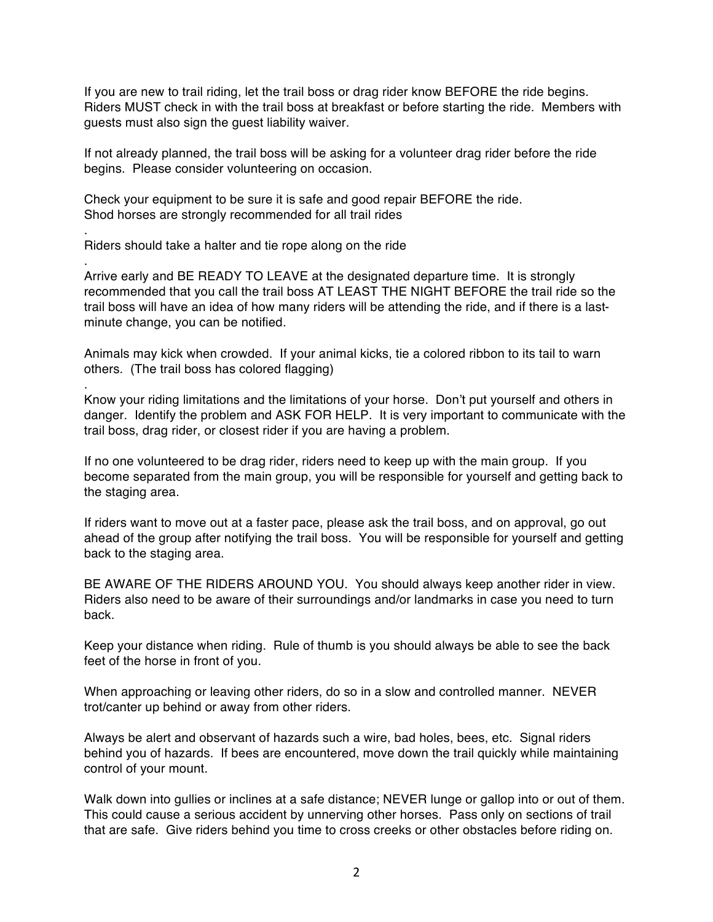If you are new to trail riding, let the trail boss or drag rider know BEFORE the ride begins. Riders MUST check in with the trail boss at breakfast or before starting the ride. Members with guests must also sign the guest liability waiver.

If not already planned, the trail boss will be asking for a volunteer drag rider before the ride begins. Please consider volunteering on occasion.

Check your equipment to be sure it is safe and good repair BEFORE the ride. Shod horses are strongly recommended for all trail rides

. Riders should take a halter and tie rope along on the ride

.

.

Arrive early and BE READY TO LEAVE at the designated departure time. It is strongly recommended that you call the trail boss AT LEAST THE NIGHT BEFORE the trail ride so the trail boss will have an idea of how many riders will be attending the ride, and if there is a lastminute change, you can be notified.

Animals may kick when crowded. If your animal kicks, tie a colored ribbon to its tail to warn others. (The trail boss has colored flagging)

Know your riding limitations and the limitations of your horse. Don't put yourself and others in danger. Identify the problem and ASK FOR HELP. It is very important to communicate with the trail boss, drag rider, or closest rider if you are having a problem.

If no one volunteered to be drag rider, riders need to keep up with the main group. If you become separated from the main group, you will be responsible for yourself and getting back to the staging area.

If riders want to move out at a faster pace, please ask the trail boss, and on approval, go out ahead of the group after notifying the trail boss. You will be responsible for yourself and getting back to the staging area.

BE AWARE OF THE RIDERS AROUND YOU. You should always keep another rider in view. Riders also need to be aware of their surroundings and/or landmarks in case you need to turn back.

Keep your distance when riding. Rule of thumb is you should always be able to see the back feet of the horse in front of you.

When approaching or leaving other riders, do so in a slow and controlled manner. NEVER trot/canter up behind or away from other riders.

Always be alert and observant of hazards such a wire, bad holes, bees, etc. Signal riders behind you of hazards. If bees are encountered, move down the trail quickly while maintaining control of your mount.

Walk down into gullies or inclines at a safe distance; NEVER lunge or gallop into or out of them. This could cause a serious accident by unnerving other horses. Pass only on sections of trail that are safe. Give riders behind you time to cross creeks or other obstacles before riding on.